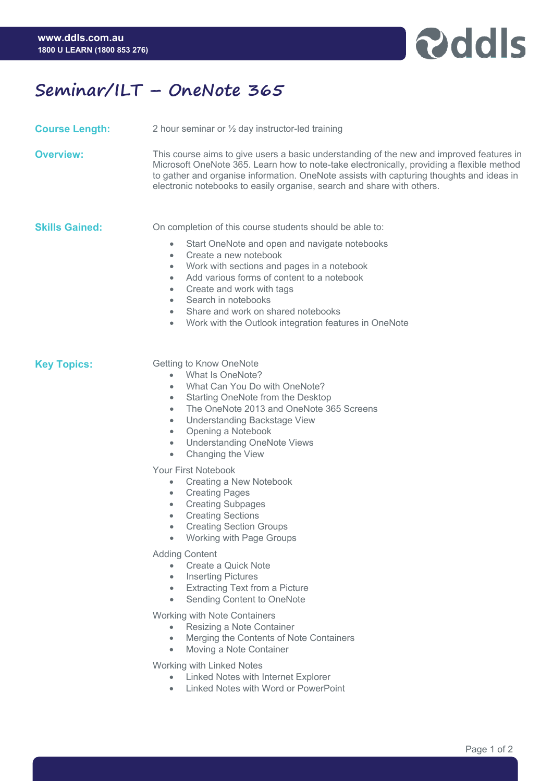

## **Seminar/ILT – OneNote 365**

**Course Length:** 2 hour seminar or ½ day instructor-led training

**Overview:** This course aims to give users a basic understanding of the new and improved features in Microsoft OneNote 365. Learn how to note-take electronically, providing a flexible method to gather and organise information. OneNote assists with capturing thoughts and ideas in electronic notebooks to easily organise, search and share with others.

**Skills Gained:** On completion of this course students should be able to:

- Start OneNote and open and navigate notebooks
- Create a new notebook
- Work with sections and pages in a notebook
- Add various forms of content to a notebook
- Create and work with tags
- Search in notebooks
- Share and work on shared notebooks
- Work with the Outlook integration features in OneNote

**Key Topics:** Getting to Know OneNote

- What Is OneNote?
- What Can You Do with OneNote?
- Starting OneNote from the Desktop
- The OneNote 2013 and OneNote 365 Screens
- Understanding Backstage View
- Opening a Notebook
- Understanding OneNote Views
- Changing the View

Your First Notebook

- Creating a New Notebook
- Creating Pages
- Creating Subpages
- Creating Sections
- Creating Section Groups
- Working with Page Groups

Adding Content

- Create a Quick Note
- Inserting Pictures
- Extracting Text from a Picture
- Sending Content to OneNote

Working with Note Containers

- Resizing a Note Container
- Merging the Contents of Note Containers
- Moving a Note Container

Working with Linked Notes

- Linked Notes with Internet Explorer
- Linked Notes with Word or PowerPoint